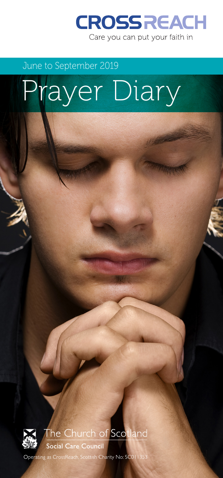

## June to September 2019

# Prayer Diary



## The Church of Scotland

Social Care Council

Operating as CrossReach, Scottish Charity No: SCO11353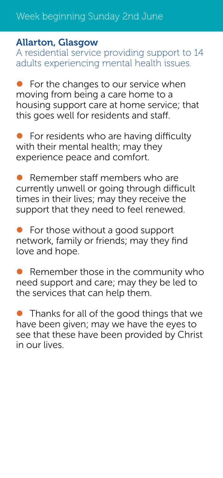#### Allarton, Glasgow

A residential service providing support to 14 adults experiencing mental health issues.

 $\bullet$  For the changes to our service when moving from being a care home to a housing support care at home service; that this goes well for residents and staff.

For residents who are having difficulty with their mental health; may they experience peace and comfort.

Remember staff members who are currently unwell or going through difficult times in their lives; may they receive the support that they need to feel renewed.

For those without a good support network, family or friends; may they find love and hope.

Remember those in the community who  $\bullet$ need support and care; may they be led to the services that can help them.

**•** Thanks for all of the good things that we have been given; may we have the eyes to see that these have been provided by Christ in our lives.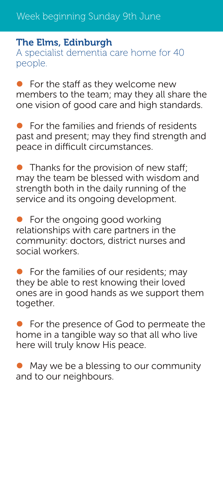#### The Elms, Edinburgh

A specialist dementia care home for 40 people.

 $\bullet$  For the staff as they welcome new members to the team; may they all share the one vision of good care and high standards.

For the families and friends of residents past and present; may they find strength and peace in difficult circumstances.

Thanks for the provision of new staff: may the team be blessed with wisdom and strength both in the daily running of the service and its ongoing development.

For the ongoing good working relationships with care partners in the community: doctors, district nurses and social workers.

For the families of our residents; may  $\bullet$ they be able to rest knowing their loved ones are in good hands as we support them together.

For the presence of God to permeate the  $\bullet$ home in a tangible way so that all who live here will truly know His peace.

May we be a blessing to our community and to our neighbours.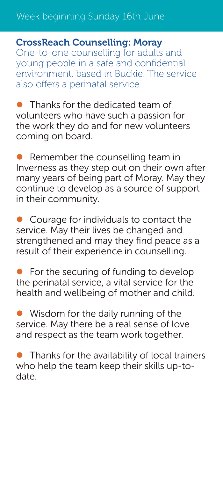#### CrossReach Counselling: Moray

One-to-one counselling for adults and young people in a safe and confidential environment, based in Buckie. The service also offers a perinatal service.

 $\bullet$  Thanks for the dedicated team of volunteers who have such a passion for the work they do and for new volunteers coming on board.

 $\bullet$  Remember the counselling team in Inverness as they step out on their own after many years of being part of Moray. May they continue to develop as a source of support in their community.

Courage for individuals to contact the service. May their lives be changed and strengthened and may they find peace as a result of their experience in counselling.

For the securing of funding to develop the perinatal service, a vital service for the health and wellbeing of mother and child.

 $\bullet$  Wisdom for the daily running of the service. May there be a real sense of love and respect as the team work together.

 $\bullet$  Thanks for the availability of local trainers who help the team keep their skills up-todate.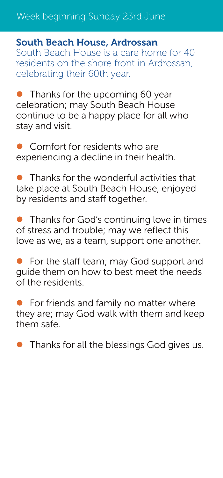## Week beginning Sunday 23rd June

#### South Beach House, Ardrossan

South Beach House is a care home for 40 residents on the shore front in Ardrossan, celebrating their 60th year.

 $\bullet$  Thanks for the upcoming 60 year celebration; may South Beach House continue to be a happy place for all who stay and visit.

Comfort for residents who are experiencing a decline in their health.

Thanks for the wonderful activities that take place at South Beach House, enjoyed by residents and staff together.

 $\bullet$  Thanks for God's continuing love in times of stress and trouble; may we reflect this love as we, as a team, support one another.

For the staff team; may God support and guide them on how to best meet the needs of the residents.

For friends and family no matter where they are; may God walk with them and keep them safe.

 $\bullet$  Thanks for all the blessings God gives us.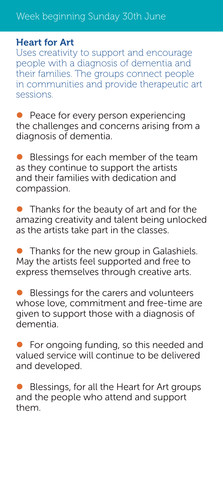## Week beginning Sunday 30th June

## Heart for Art

Uses creativity to support and encourage people with a diagnosis of dementia and their families. The groups connect people in communities and provide therapeutic art sessions.

• Peace for every person experiencing the challenges and concerns arising from a diagnosis of dementia.

Blessings for each member of the team as they continue to support the artists and their families with dedication and compassion.

 $\bullet$  Thanks for the beauty of art and for the amazing creativity and talent being unlocked as the artists take part in the classes.

 $\bullet$  Thanks for the new group in Galashiels. May the artists feel supported and free to express themselves through creative arts.

Blessings for the carers and volunteers whose love, commitment and free-time are given to support those with a diagnosis of dementia.

For ongoing funding, so this needed and valued service will continue to be delivered and developed.

Blessings, for all the Heart for Art groups and the people who attend and support them.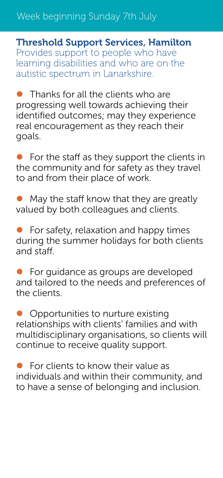## Week beginning Sunday 7th July

Threshold Support Services, Hamilton Provides support to people who have learning disabilities and who are on the autistic spectrum in Lanarkshire.

 $\bullet$  Thanks for all the clients who are progressing well towards achieving their identified outcomes; may they experience real encouragement as they reach their goals.

For the staff as they support the clients in the community and for safety as they travel to and from their place of work.

May the staff know that they are greatly valued by both colleagues and clients.

For safety, relaxation and happy times during the summer holidays for both clients and staff.

For guidance as groups are developed and tailored to the needs and preferences of the clients.

 $\bullet$  Opportunities to nurture existing relationships with clients' families and with multidisciplinary organisations, so clients will continue to receive quality support.

For clients to know their value as individuals and within their community, and to have a sense of belonging and inclusion.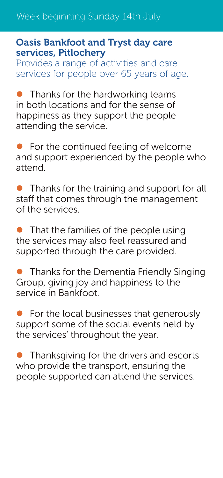#### Oasis Bankfoot and Tryst day care services, Pitlochery

Provides a range of activities and care services for people over 65 years of age.

 $\bullet$  Thanks for the hardworking teams in both locations and for the sense of happiness as they support the people attending the service.

 $\bullet$  For the continued feeling of welcome and support experienced by the people who attend.

 $\bullet$  Thanks for the training and support for all staff that comes through the management of the services.

 $\bullet$  That the families of the people using the services may also feel reassured and supported through the care provided.

 $\bullet$  Thanks for the Dementia Friendly Singing Group, giving joy and happiness to the service in Bankfoot.

 $\bullet$  For the local businesses that generously support some of the social events held by the services' throughout the year.

 $\bullet$  Thanksgiving for the drivers and escorts who provide the transport, ensuring the people supported can attend the services.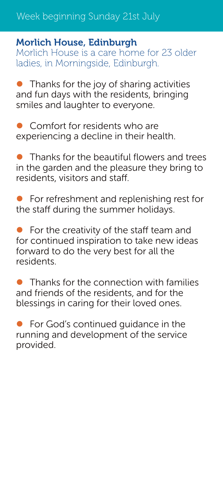#### Morlich House, Edinburgh

Morlich House is a care home for 23 older ladies, in Morningside, Edinburgh.

 $\bullet$  Thanks for the joy of sharing activities and fun days with the residents, bringing smiles and laughter to everyone.

Comfort for residents who are experiencing a decline in their health.

z Thanks for the beautiful flowers and trees in the garden and the pleasure they bring to residents, visitors and staff.

For refreshment and replenishing rest for the staff during the summer holidays.

For the creativity of the staff team and for continued inspiration to take new ideas forward to do the very best for all the residents.

Thanks for the connection with families and friends of the residents, and for the blessings in caring for their loved ones.

 $\bullet$  For God's continued guidance in the running and development of the service provided.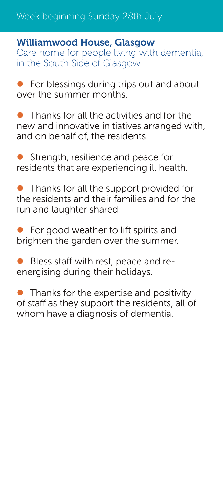## Week beginning Sunday 28th July

#### Williamwood House, Glasgow

Care home for people living with dementia, in the South Side of Glasgow.

 $\bullet$  For blessings during trips out and about over the summer months.

Thanks for all the activities and for the new and innovative initiatives arranged with, and on behalf of, the residents.

Strength, resilience and peace for residents that are experiencing ill health.

 $\bullet$  Thanks for all the support provided for the residents and their families and for the fun and laughter shared.

For good weather to lift spirits and brighten the garden over the summer.

Bless staff with rest, peace and reenergising during their holidays.

Thanks for the expertise and positivity of staff as they support the residents, all of whom have a diagnosis of dementia.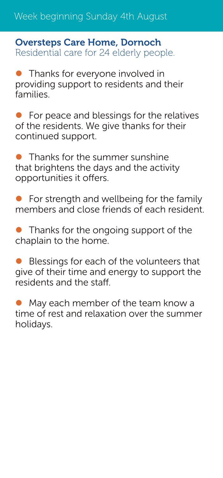Week beginning Sunday 4th August

#### Oversteps Care Home, Dornoch Residential care for 24 elderly people.

 $\bullet$  Thanks for everyone involved in providing support to residents and their families.

For peace and blessings for the relatives of the residents. We give thanks for their continued support.

 $\bullet$  Thanks for the summer sunshine that brightens the days and the activity opportunities it offers.

For strength and wellbeing for the family members and close friends of each resident.

Thanks for the ongoing support of the chaplain to the home.

Blessings for each of the volunteers that give of their time and energy to support the residents and the staff.

May each member of the team know a time of rest and relaxation over the summer holidays.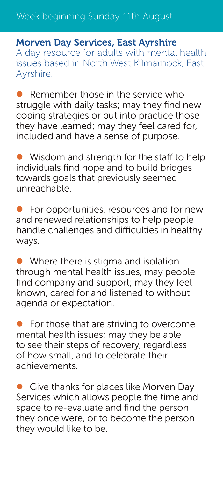Morven Day Services, East Ayrshire A day resource for adults with mental health issues based in North West Kilmarnock, East Ayrshire.

Remember those in the service who struggle with daily tasks; may they find new coping strategies or put into practice those they have learned; may they feel cared for, included and have a sense of purpose.

Wisdom and strength for the staff to help individuals find hope and to build bridges towards goals that previously seemed unreachable

For opportunities, resources and for new and renewed relationships to help people handle challenges and difficulties in healthy ways.

 $\bullet$  Where there is stigma and isolation through mental health issues, may people find company and support; may they feel known, cared for and listened to without agenda or expectation.

 $\bullet$  For those that are striving to overcome mental health issues; may they be able to see their steps of recovery, regardless of how small, and to celebrate their achievements.

**• Give thanks for places like Morven Day** Services which allows people the time and space to re-evaluate and find the person they once were, or to become the person they would like to be.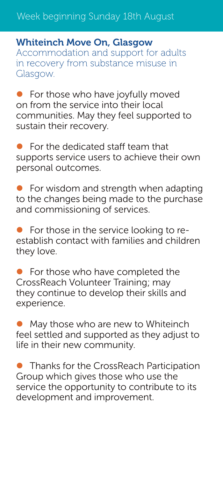Whiteinch Move On, Glasgow Accommodation and support for adults in recovery from substance misuse in Glasgow.

For those who have joyfully moved on from the service into their local communities. May they feel supported to sustain their recovery.

 $\bullet$  For the dedicated staff team that supports service users to achieve their own personal outcomes.

For wisdom and strength when adapting to the changes being made to the purchase and commissioning of services.

For those in the service looking to reestablish contact with families and children they love.

 $\bullet$  For those who have completed the CrossReach Volunteer Training; may they continue to develop their skills and experience.

May those who are new to Whiteinch feel settled and supported as they adjust to life in their new community.

**• Thanks for the CrossReach Participation** Group which gives those who use the service the opportunity to contribute to its development and improvement.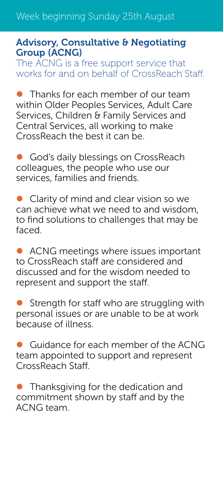#### Advisory, Consultative & Negotiating Group (ACNG)

The ACNG is a free support service that works for and on behalf of CrossReach Staff.

Thanks for each member of our team within Older Peoples Services, Adult Care Services, Children & Family Services and Central Services, all working to make CrossReach the best it can be.

God's daily blessings on CrossReach colleagues, the people who use our services, families and friends.

• Clarity of mind and clear vision so we can achieve what we need to and wisdom, to find solutions to challenges that may be faced.

• ACNG meetings where issues important to CrossReach staff are considered and discussed and for the wisdom needed to represent and support the staff.

Strength for staff who are struggling with personal issues or are unable to be at work because of illness.

Guidance for each member of the ACNG team appointed to support and represent CrossReach Staff.

 $\bullet$  Thanksgiving for the dedication and commitment shown by staff and by the ACNG team.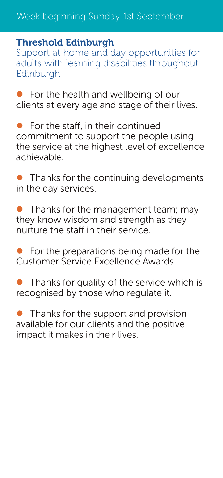#### Threshold Edinburgh

Support at home and day opportunities for adults with learning disabilities throughout Edinburgh

For the health and wellbeing of our clients at every age and stage of their lives.

For the staff, in their continued commitment to support the people using the service at the highest level of excellence achievable.

• Thanks for the continuing developments in the day services.

 $\bullet$  Thanks for the management team; may they know wisdom and strength as they nurture the staff in their service.

 $\bullet$  For the preparations being made for the Customer Service Excellence Awards.

Thanks for quality of the service which is recognised by those who regulate it.

 $\bullet$  Thanks for the support and provision available for our clients and the positive impact it makes in their lives.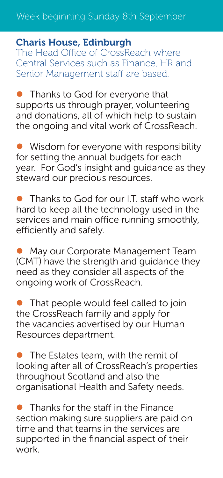## Week beginning Sunday 8th September

## Charis House, Edinburgh

The Head Office of CrossReach where Central Services such as Finance, HR and Senior Management staff are based.

• Thanks to God for everyone that supports us through prayer, volunteering and donations, all of which help to sustain the ongoing and vital work of CrossReach.

 $\bullet$  Wisdom for everyone with responsibility for setting the annual budgets for each year. For God's insight and guidance as they steward our precious resources.

• Thanks to God for our I.T. staff who work hard to keep all the technology used in the services and main office running smoothly, efficiently and safely.

• May our Corporate Management Team (CMT) have the strength and guidance they need as they consider all aspects of the ongoing work of CrossReach.

 $\bullet$  That people would feel called to join the CrossReach family and apply for the vacancies advertised by our Human Resources department.

The Estates team, with the remit of looking after all of CrossReach's properties throughout Scotland and also the organisational Health and Safety needs.

Thanks for the staff in the Finance section making sure suppliers are paid on time and that teams in the services are supported in the financial aspect of their work.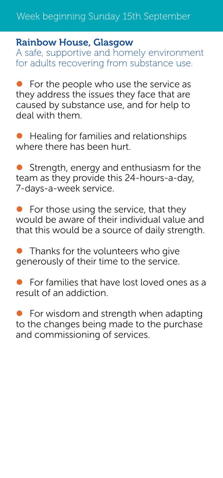#### Rainbow House, Glasgow

A safe, supportive and homely environment for adults recovering from substance use.

 $\bullet$  For the people who use the service as they address the issues they face that are caused by substance use, and for help to deal with them.

Healing for families and relationships where there has been hurt.

Strength, energy and enthusiasm for the team as they provide this 24-hours-a-day, 7-days-a-week service.

For those using the service, that they would be aware of their individual value and that this would be a source of daily strength.

Thanks for the volunteers who give generously of their time to the service.

For families that have lost loved ones as a result of an addiction.

 $\bullet$  For wisdom and strength when adapting to the changes being made to the purchase and commissioning of services.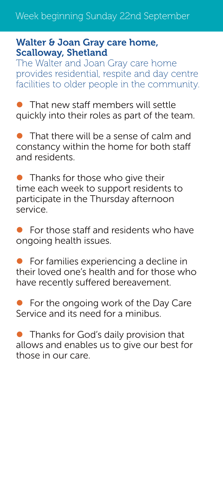#### Walter & Joan Gray care home, Scalloway, Shetland

The Walter and Joan Gray care home provides residential, respite and day centre facilities to older people in the community.

That new staff members will settle quickly into their roles as part of the team.

 $\bullet$  That there will be a sense of calm and constancy within the home for both staff and residents.

 $\bullet$  Thanks for those who give their time each week to support residents to participate in the Thursday afternoon service.

For those staff and residents who have ongoing health issues.

For families experiencing a decline in their loved one's health and for those who have recently suffered bereavement.

For the ongoing work of the Day Care Service and its need for a minibus.

 $\bullet$  Thanks for God's daily provision that allows and enables us to give our best for those in our care.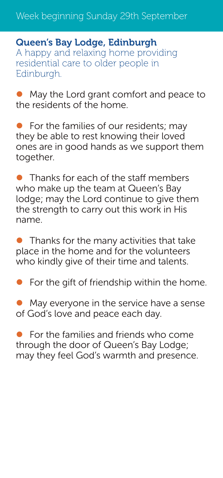Queen's Bay Lodge, Edinburgh A happy and relaxing home providing residential care to older people in Edinburgh.

• May the Lord grant comfort and peace to the residents of the home.

For the families of our residents; may they be able to rest knowing their loved ones are in good hands as we support them together.

• Thanks for each of the staff members who make up the team at Queen's Bay lodge; may the Lord continue to give them the strength to carry out this work in His name.

 $\bullet$  Thanks for the many activities that take place in the home and for the volunteers who kindly give of their time and talents.

 $\bullet$  For the gift of friendship within the home.

May everyone in the service have a sense of God's love and peace each day.

For the families and friends who come through the door of Queen's Bay Lodge; may they feel God's warmth and presence.